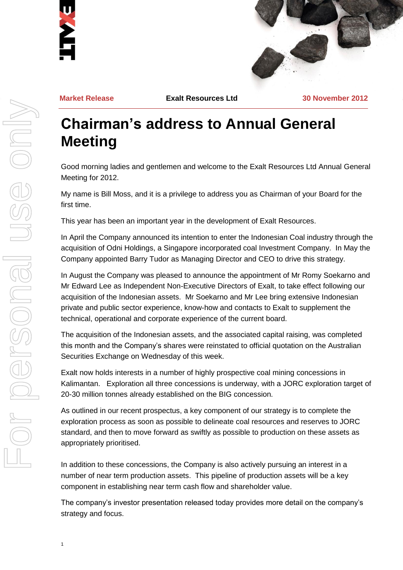



**Market Release Exalt Resources Ltd 30 November 2012**

## **Chairman's address to Annual General Meeting**

Good morning ladies and gentlemen and welcome to the Exalt Resources Ltd Annual General Meeting for 2012.

My name is Bill Moss, and it is a privilege to address you as Chairman of your Board for the first time.

This year has been an important year in the development of Exalt Resources.

In April the Company announced its intention to enter the Indonesian Coal industry through the acquisition of Odni Holdings, a Singapore incorporated coal Investment Company. In May the Company appointed Barry Tudor as Managing Director and CEO to drive this strategy.

In August the Company was pleased to announce the appointment of Mr Romy Soekarno and Mr Edward Lee as Independent Non-Executive Directors of Exalt, to take effect following our acquisition of the Indonesian assets. Mr Soekarno and Mr Lee bring extensive Indonesian private and public sector experience, know-how and contacts to Exalt to supplement the technical, operational and corporate experience of the current board.

The acquisition of the Indonesian assets, and the associated capital raising, was completed this month and the Company's shares were reinstated to official quotation on the Australian Securities Exchange on Wednesday of this week.

Exalt now holds interests in a number of highly prospective coal mining concessions in Kalimantan. Exploration all three concessions is underway, with a JORC exploration target of 20-30 million tonnes already established on the BIG concession.

As outlined in our recent prospectus, a key component of our strategy is to complete the exploration process as soon as possible to delineate coal resources and reserves to JORC standard, and then to move forward as swiftly as possible to production on these assets as appropriately prioritised.

In addition to these concessions, the Company is also actively pursuing an interest in a number of near term production assets. This pipeline of production assets will be a key component in establishing near term cash flow and shareholder value.

The company's investor presentation released today provides more detail on the company's strategy and focus.